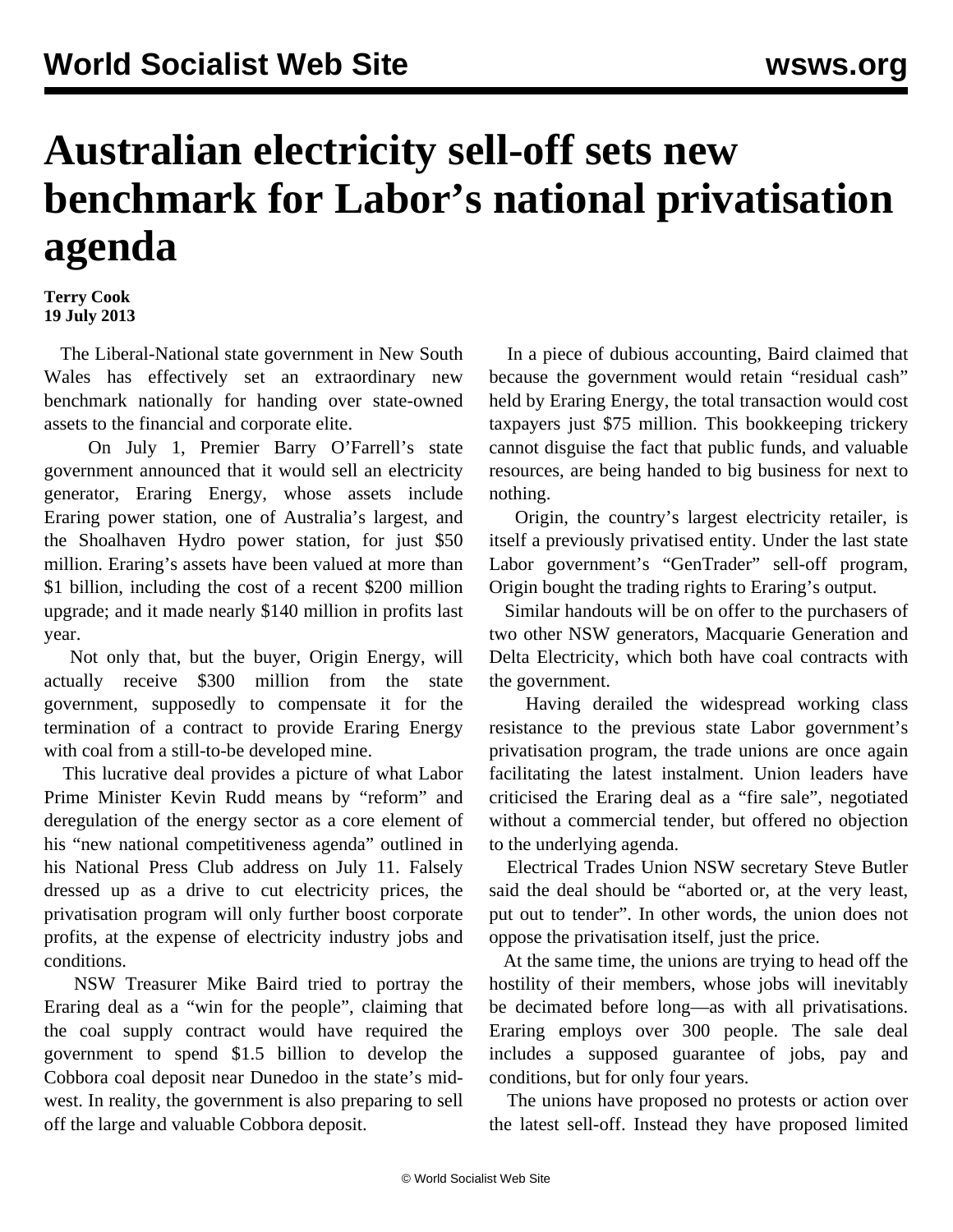## **Australian electricity sell-off sets new benchmark for Labor's national privatisation agenda**

## **Terry Cook 19 July 2013**

 The Liberal-National state government in New South Wales has effectively set an extraordinary new benchmark nationally for handing over state-owned assets to the financial and corporate elite.

 On July 1, Premier Barry O'Farrell's state government announced that it would sell an electricity generator, Eraring Energy, whose assets include Eraring power station, one of Australia's largest, and the Shoalhaven Hydro power station, for just \$50 million. Eraring's assets have been valued at more than \$1 billion, including the cost of a recent \$200 million upgrade; and it made nearly \$140 million in profits last year.

 Not only that, but the buyer, Origin Energy, will actually receive \$300 million from the state government, supposedly to compensate it for the termination of a contract to provide Eraring Energy with coal from a still-to-be developed mine.

 This lucrative deal provides a picture of what Labor Prime Minister Kevin Rudd means by "reform" and deregulation of the energy sector as a core element of his "new national competitiveness agenda" outlined in his National Press Club address on July 11. Falsely dressed up as a drive to cut electricity prices, the privatisation program will only further boost corporate profits, at the expense of electricity industry jobs and conditions.

 NSW Treasurer Mike Baird tried to portray the Eraring deal as a "win for the people", claiming that the coal supply contract would have required the government to spend \$1.5 billion to develop the Cobbora coal deposit near Dunedoo in the state's midwest. In reality, the government is also preparing to sell off the large and valuable Cobbora deposit.

 In a piece of dubious accounting, Baird claimed that because the government would retain "residual cash" held by Eraring Energy, the total transaction would cost taxpayers just \$75 million. This bookkeeping trickery cannot disguise the fact that public funds, and valuable resources, are being handed to big business for next to nothing.

 Origin, the country's largest electricity retailer, is itself a previously privatised entity. Under the last state Labor government's "GenTrader" sell-off program, Origin bought the trading rights to Eraring's output.

 Similar handouts will be on offer to the purchasers of two other NSW generators, Macquarie Generation and Delta Electricity, which both have coal contracts with the government.

 Having derailed the widespread working class resistance to the previous state Labor government's privatisation program, the trade unions are once again facilitating the latest instalment. Union leaders have criticised the Eraring deal as a "fire sale", negotiated without a commercial tender, but offered no objection to the underlying agenda.

 Electrical Trades Union NSW secretary Steve Butler said the deal should be "aborted or, at the very least, put out to tender". In other words, the union does not oppose the privatisation itself, just the price.

 At the same time, the unions are trying to head off the hostility of their members, whose jobs will inevitably be decimated before long—as with all privatisations. Eraring employs over 300 people. The sale deal includes a supposed guarantee of jobs, pay and conditions, but for only four years.

 The unions have proposed no protests or action over the latest sell-off. Instead they have proposed limited